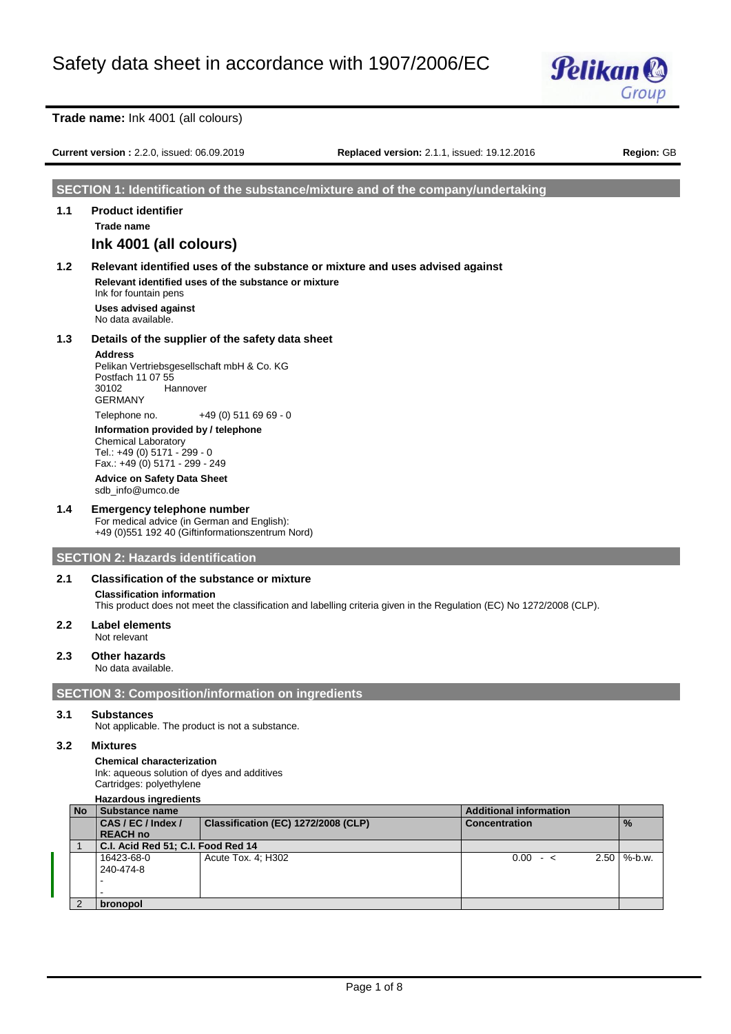

**Current version :** 2.2.0, issued: 06.09.2019 **Replaced version:** 2.1.1, issued: 19.12.2016 **Region:** GB

# **SECTION 1: Identification of the substance/mixture and of the company/undertaking**

# **1.1 Product identifier Trade name Ink 4001 (all colours)**

**1.2 Relevant identified uses of the substance or mixture and uses advised against Relevant identified uses of the substance or mixture** Ink for fountain pens

**Uses advised against** No data available.

# **1.3 Details of the supplier of the safety data sheet**

# **Address**

Pelikan Vertriebsgesellschaft mbH & Co. KG Postfach 11 07 55 30102 Hannover GERMANY Telephone no. +49 (0) 511 69 69 - 0

**Information provided by / telephone** Chemical Laboratory Tel.: +49 (0) 5171 - 299 - 0 Fax.: +49 (0) 5171 - 299 - 249

**Advice on Safety Data Sheet** sdb\_info@umco.de

# **1.4 Emergency telephone number**

For medical advice (in German and English): +49 (0)551 192 40 (Giftinformationszentrum Nord)

# **SECTION 2: Hazards identification**

# **2.1 Classification of the substance or mixture**

**Classification information**

This product does not meet the classification and labelling criteria given in the Regulation (EC) No 1272/2008 (CLP).

### **2.2 Label elements** Not relevant

# **2.3 Other hazards**

No data available.

# **SECTION 3: Composition/information on ingredients**

# **3.1 Substances**

Not applicable. The product is not a substance.

# **3.2 Mixtures**

### **Chemical characterization**

Ink: aqueous solution of dyes and additives Cartridges: polyethylene

**Hazardous ingredients**

| <b>No</b> | <b>Substance name</b>                                     |                    | <b>Additional information</b> |                      |
|-----------|-----------------------------------------------------------|--------------------|-------------------------------|----------------------|
|           | CAS / EC / Index /<br>Classification (EC) 1272/2008 (CLP) |                    | <b>Concentration</b>          | $\frac{9}{6}$        |
|           | <b>REACH no</b>                                           |                    |                               |                      |
|           | C.I. Acid Red 51; C.I. Food Red 14                        |                    |                               |                      |
|           | 16423-68-0                                                | Acute Tox. 4: H302 | $0.00 - c$                    | $2.50 \mid \%$ -b.w. |
|           | 240-474-8                                                 |                    |                               |                      |
|           |                                                           |                    |                               |                      |
|           |                                                           |                    |                               |                      |
|           | bronopol                                                  |                    |                               |                      |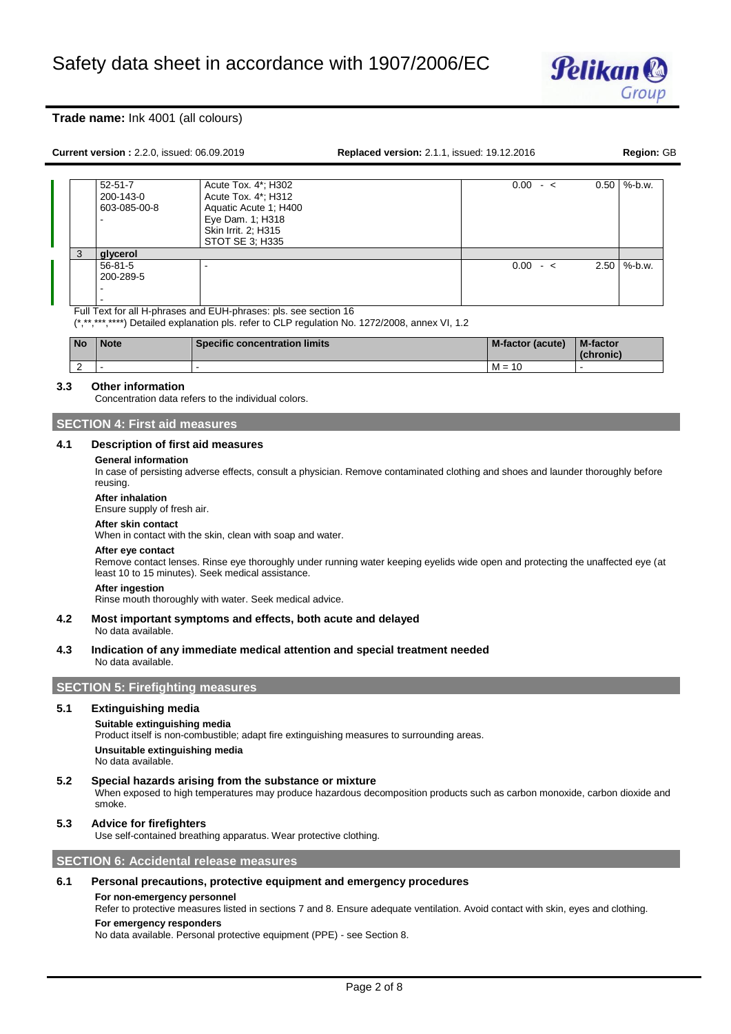

**Replaced version:** 2.1.1, issued: 19.12.2016 **Replaced version: GB** 

| $52 - 51 - 7$ | Acute Tox. 4*; H302   | $0.00 - c$ | $0.50$ \%-b.w.       |
|---------------|-----------------------|------------|----------------------|
| 200-143-0     | Acute Tox. 4*; H312   |            |                      |
| 603-085-00-8  | Aquatic Acute 1: H400 |            |                      |
| -             | Eye Dam. 1; H318      |            |                      |
|               | Skin Irrit. 2: H315   |            |                      |
|               | STOT SE 3; H335       |            |                      |
| glycerol      |                       |            |                      |
| $56 - 81 - 5$ |                       | $0.00 - 5$ | $2.50 \mid \%$ -b.w. |
| 200-289-5     |                       |            |                      |
| -             |                       |            |                      |
| -             |                       |            |                      |

Full Text for all H-phrases and EUH-phrases: pls. see section 16

(\*,\*\*,\*\*\*,\*\*\*\*) Detailed explanation pls. refer to CLP regulation No. 1272/2008, annex VI, 1.2

| <b>No</b> | <b>Note</b> | <b>Specific concentration limits</b> | <b>M-factor (acute)</b> | <b>M-factor</b><br>(chronic) |
|-----------|-------------|--------------------------------------|-------------------------|------------------------------|
|           |             |                                      | $M =$<br>10             |                              |

### **3.3 Other information**

Concentration data refers to the individual colors.

# **SECTION 4: First aid measures**

### **4.1 Description of first aid measures**

### **General information**

In case of persisting adverse effects, consult a physician. Remove contaminated clothing and shoes and launder thoroughly before reusing.

### **After inhalation**

Ensure supply of fresh air.

### **After skin contact**

When in contact with the skin, clean with soap and water.

#### **After eye contact**

Remove contact lenses. Rinse eye thoroughly under running water keeping eyelids wide open and protecting the unaffected eye (at least 10 to 15 minutes). Seek medical assistance.

# **After ingestion**

Rinse mouth thoroughly with water. Seek medical advice.

### **4.2 Most important symptoms and effects, both acute and delayed** No data available.

**4.3 Indication of any immediate medical attention and special treatment needed** No data available.

# **SECTION 5: Firefighting measures**

### **5.1 Extinguishing media**

### **Suitable extinguishing media**

Product itself is non-combustible; adapt fire extinguishing measures to surrounding areas.

**Unsuitable extinguishing media** No data available.

### **5.2 Special hazards arising from the substance or mixture**

When exposed to high temperatures may produce hazardous decomposition products such as carbon monoxide, carbon dioxide and smoke.

# **5.3 Advice for firefighters**

Use self-contained breathing apparatus. Wear protective clothing.

### **SECTION 6: Accidental release measures**

# **6.1 Personal precautions, protective equipment and emergency procedures**

### **For non-emergency personnel**

Refer to protective measures listed in sections 7 and 8. Ensure adequate ventilation. Avoid contact with skin, eyes and clothing.

### **For emergency responders**

No data available. Personal protective equipment (PPE) - see Section 8.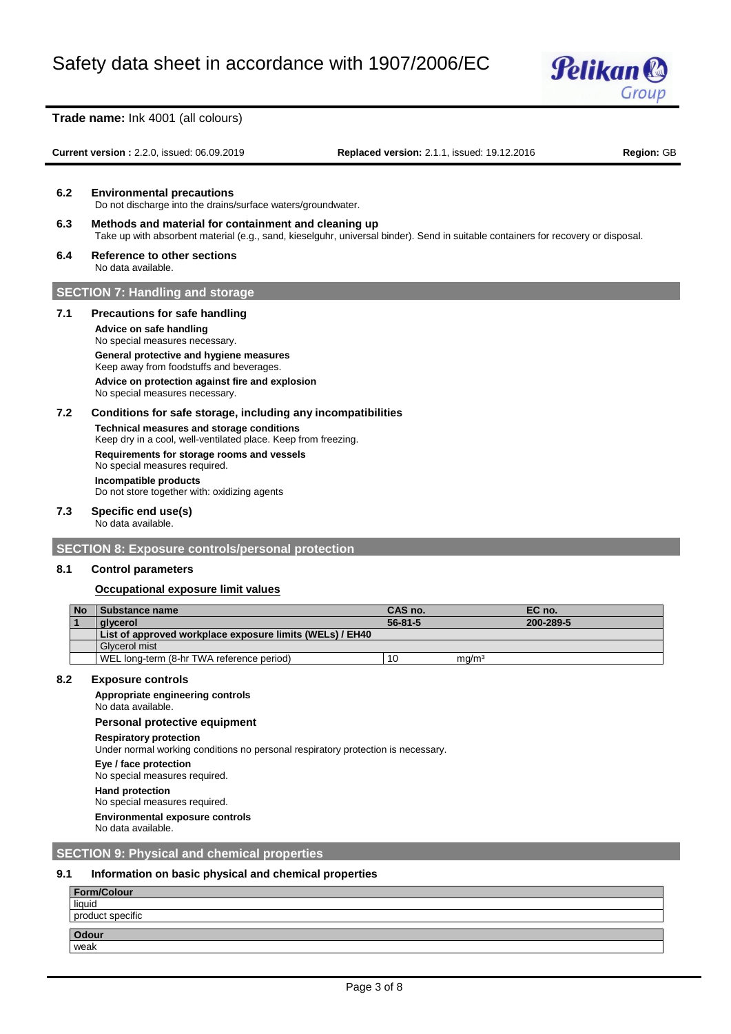

**Current version :** 2.2.0, issued: 06.09.2019 **Replaced version:** 2.1.1, issued: 19.12.2016 **Region:** GB

**6.2 Environmental precautions** Do not discharge into the drains/surface waters/groundwater.

- **6.3 Methods and material for containment and cleaning up** Take up with absorbent material (e.g., sand, kieselguhr, universal binder). Send in suitable containers for recovery or disposal.
- **6.4 Reference to other sections** No data available.

# **SECTION 7: Handling and storage**

### **7.1 Precautions for safe handling**

**Advice on safe handling** No special measures necessary. **General protective and hygiene measures** Keep away from foodstuffs and beverages. **Advice on protection against fire and explosion** No special measures necessary.

# **7.2 Conditions for safe storage, including any incompatibilities**

**Technical measures and storage conditions** Keep dry in a cool, well-ventilated place. Keep from freezing. **Requirements for storage rooms and vessels** No special measures required. **Incompatible products** Do not store together with: oxidizing agents

### **7.3 Specific end use(s)**

No data available.

# **SECTION 8: Exposure controls/personal protection**

### **8.1 Control parameters**

# **Occupational exposure limit values**

| <b>No</b> | Substance name                                           | CAS no.       |                   | EC no.    |
|-----------|----------------------------------------------------------|---------------|-------------------|-----------|
|           | alvcerol                                                 | $56 - 81 - 5$ |                   | 200-289-5 |
|           | List of approved workplace exposure limits (WELs) / EH40 |               |                   |           |
|           | Glycerol mist                                            |               |                   |           |
|           | WEL long-term (8-hr TWA reference period)                | 10            | mq/m <sup>3</sup> |           |

### **8.2 Exposure controls**

# **Appropriate engineering controls**

No data available.

### **Personal protective equipment**

### **Respiratory protection**

Under normal working conditions no personal respiratory protection is necessary.

**Eye / face protection**

No special measures required.

### **Hand protection** No special measures required.

**Environmental exposure controls**

No data available.

# **SECTION 9: Physical and chemical properties**

# **9.1 Information on basic physical and chemical properties**

| Form/Colour      |  |
|------------------|--|
| liquid           |  |
| product specific |  |
|                  |  |
| Odour<br>weak    |  |
|                  |  |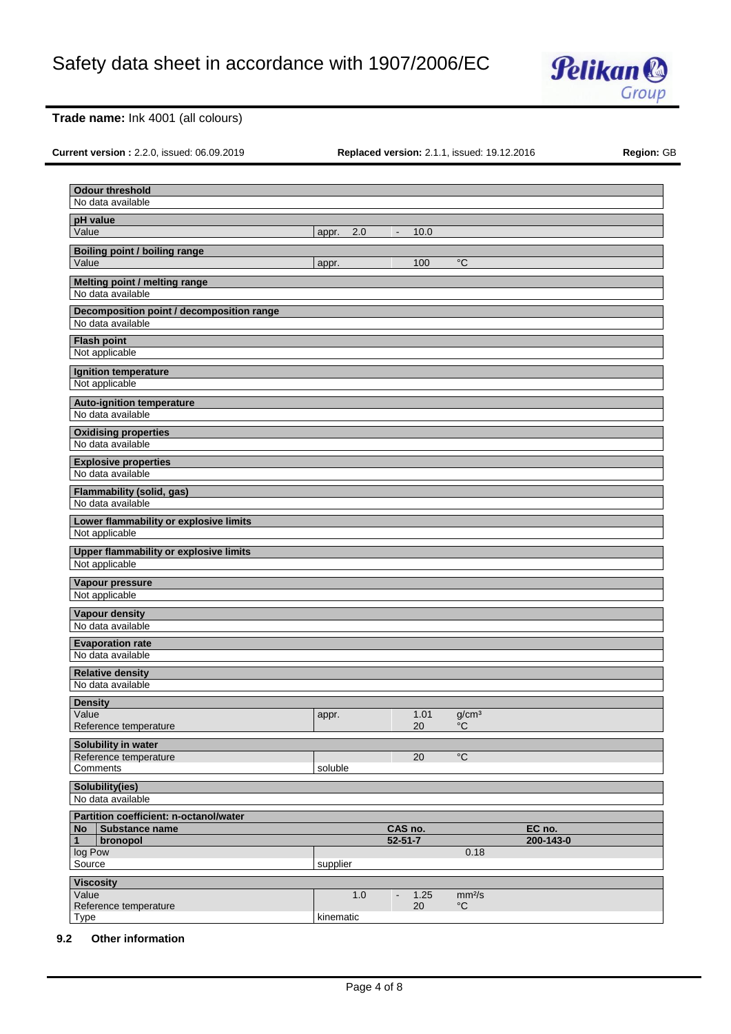

**Current version :** 2.2.0, issued: 06.09.2019 **Replaced version:** 2.1.1, issued: 19.12.2016 **Region:** GB

| <b>Odour threshold</b>                             |           |     |                          |      |                    |                     |
|----------------------------------------------------|-----------|-----|--------------------------|------|--------------------|---------------------|
| No data available                                  |           |     |                          |      |                    |                     |
| pH value                                           |           |     |                          |      |                    |                     |
| Value                                              | appr.     | 2.0 | $\blacksquare$           | 10.0 |                    |                     |
| <b>Boiling point / boiling range</b>               |           |     |                          |      |                    |                     |
| Value                                              | appr.     |     |                          | 100  | °C                 |                     |
| Melting point / melting range<br>No data available |           |     |                          |      |                    |                     |
| Decomposition point / decomposition range          |           |     |                          |      |                    |                     |
| No data available                                  |           |     |                          |      |                    |                     |
| <b>Flash point</b>                                 |           |     |                          |      |                    |                     |
| Not applicable                                     |           |     |                          |      |                    |                     |
| Ignition temperature                               |           |     |                          |      |                    |                     |
| Not applicable                                     |           |     |                          |      |                    |                     |
| <b>Auto-ignition temperature</b>                   |           |     |                          |      |                    |                     |
| No data available                                  |           |     |                          |      |                    |                     |
| <b>Oxidising properties</b><br>No data available   |           |     |                          |      |                    |                     |
| <b>Explosive properties</b><br>No data available   |           |     |                          |      |                    |                     |
| <b>Flammability (solid, gas)</b>                   |           |     |                          |      |                    |                     |
| No data available                                  |           |     |                          |      |                    |                     |
| Lower flammability or explosive limits             |           |     |                          |      |                    |                     |
| Not applicable                                     |           |     |                          |      |                    |                     |
| Upper flammability or explosive limits             |           |     |                          |      |                    |                     |
| Not applicable                                     |           |     |                          |      |                    |                     |
| Vapour pressure                                    |           |     |                          |      |                    |                     |
| Not applicable                                     |           |     |                          |      |                    |                     |
| Vapour density                                     |           |     |                          |      |                    |                     |
| No data available                                  |           |     |                          |      |                    |                     |
| <b>Evaporation rate</b>                            |           |     |                          |      |                    |                     |
| No data available                                  |           |     |                          |      |                    |                     |
| <b>Relative density</b>                            |           |     |                          |      |                    |                     |
| No data available                                  |           |     |                          |      |                    |                     |
| <b>Density</b>                                     |           |     |                          |      |                    |                     |
| Value                                              | appr.     |     |                          | 1.01 | g/cm <sup>3</sup>  |                     |
| Reference temperature                              |           |     |                          | 20   | $^{\circ}C$        |                     |
| Solubility in water                                |           |     |                          |      |                    |                     |
| Reference temperature                              |           |     |                          | 20   | $\overline{C}$     |                     |
| Comments                                           | soluble   |     |                          |      |                    |                     |
| Solubility(ies)                                    |           |     |                          |      |                    |                     |
| No data available                                  |           |     |                          |      |                    |                     |
| Partition coefficient: n-octanol/water             |           |     |                          |      |                    |                     |
| Substance name<br>No<br>$\mathbf{1}$<br>bronopol   |           |     | CAS no.<br>$52 - 51 - 7$ |      |                    | EC no.<br>200-143-0 |
| log Pow                                            |           |     |                          |      | 0.18               |                     |
| Source                                             | supplier  |     |                          |      |                    |                     |
| <b>Viscosity</b>                                   |           |     |                          |      |                    |                     |
| Value                                              |           | 1.0 |                          | 1.25 | mm <sup>2</sup> /s |                     |
| Reference temperature                              |           |     |                          | 20   | $^{\circ}{\rm C}$  |                     |
| Type                                               | kinematic |     |                          |      |                    |                     |

# **9.2 Other information**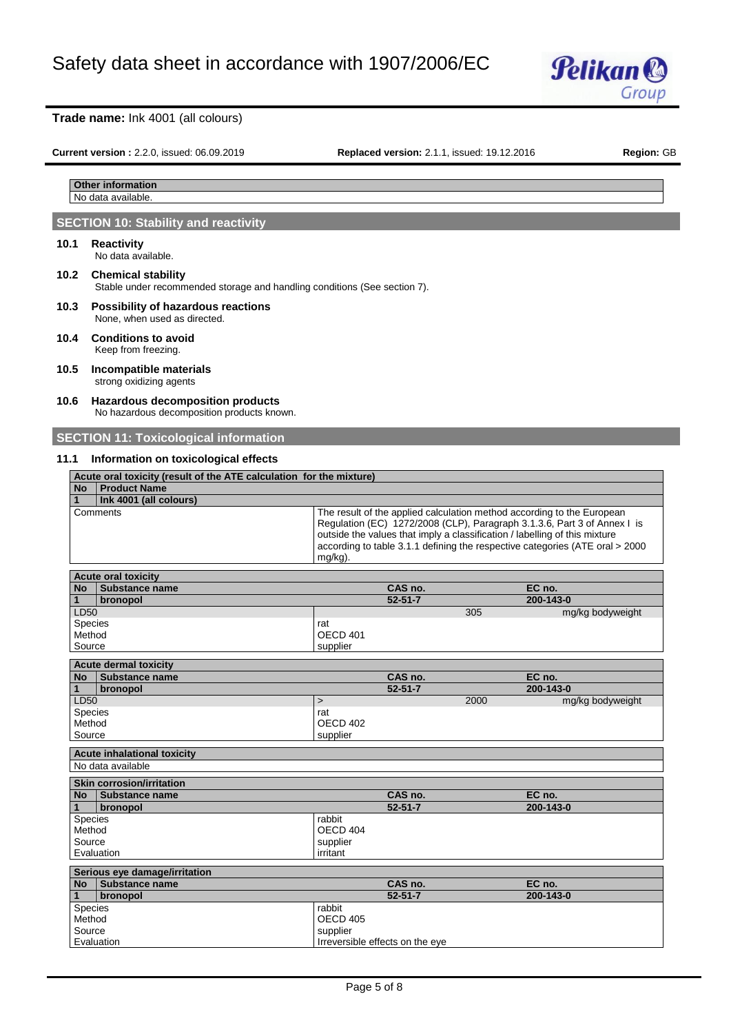

**Current version :** 2.2.0, issued: 06.09.2019 **Replaced version:** 2.1.1, issued: 19.12.2016 **Region:** GB

### **Other information** No data available

# **SECTION 10: Stability and reactivity**

### **10.1 Reactivity** No data available.

# **10.2 Chemical stability** Stable under recommended storage and handling conditions (See section 7).

- **10.3 Possibility of hazardous reactions** None, when used as directed.
- **10.4 Conditions to avoid** Keep from freezing.

# **10.5 Incompatible materials**

strong oxidizing agents

### **10.6 Hazardous decomposition products** No hazardous decomposition products known.

# **SECTION 11: Toxicological information**

# **11.1 Information on toxicological effects**

|           | Acute oral toxicity (result of the ATE calculation for the mixture) |                                                                                                                                                                                                                                                                                                                              |  |  |  |  |  |  |
|-----------|---------------------------------------------------------------------|------------------------------------------------------------------------------------------------------------------------------------------------------------------------------------------------------------------------------------------------------------------------------------------------------------------------------|--|--|--|--|--|--|
| <b>No</b> | <b>Product Name</b>                                                 |                                                                                                                                                                                                                                                                                                                              |  |  |  |  |  |  |
|           | Ink 4001 (all colours)                                              |                                                                                                                                                                                                                                                                                                                              |  |  |  |  |  |  |
|           | Comments                                                            | The result of the applied calculation method according to the European<br>Regulation (EC) 1272/2008 (CLP), Paragraph 3.1.3.6, Part 3 of Annex I is<br>outside the values that imply a classification / labelling of this mixture<br>according to table 3.1.1 defining the respective categories (ATE oral > 2000)<br>mg/kg). |  |  |  |  |  |  |

| <b>Acute oral toxicity</b>         |              |                                 |      |                  |  |  |  |
|------------------------------------|--------------|---------------------------------|------|------------------|--|--|--|
| <b>Substance name</b><br><b>No</b> |              | CAS no.                         |      | EC no.           |  |  |  |
| bronopol<br>$\mathbf{1}$           |              | $52 - 51 - 7$                   |      | 200-143-0        |  |  |  |
| LD50                               |              |                                 | 305  | mg/kg bodyweight |  |  |  |
| <b>Species</b>                     | rat          |                                 |      |                  |  |  |  |
| Method                             | OECD 401     |                                 |      |                  |  |  |  |
| Source                             | supplier     |                                 |      |                  |  |  |  |
| <b>Acute dermal toxicity</b>       |              |                                 |      |                  |  |  |  |
| <b>No</b><br>Substance name        |              | CAS no.                         |      | EC no.           |  |  |  |
| $\mathbf{1}$<br>bronopol           |              | $52 - 51 - 7$                   |      | 200-143-0        |  |  |  |
| LD50                               | $\mathbf{I}$ |                                 | 2000 | mg/kg bodyweight |  |  |  |
| Species                            | rat          |                                 |      |                  |  |  |  |
| Method                             | OECD 402     |                                 |      |                  |  |  |  |
| Source                             | supplier     |                                 |      |                  |  |  |  |
| <b>Acute inhalational toxicity</b> |              |                                 |      |                  |  |  |  |
| No data available                  |              |                                 |      |                  |  |  |  |
| <b>Skin corrosion/irritation</b>   |              |                                 |      |                  |  |  |  |
| <b>No</b><br>Substance name        |              | CAS no.                         |      | EC no.           |  |  |  |
| bronopol<br>1                      |              | $52 - 51 - 7$                   |      | 200-143-0        |  |  |  |
| Species                            | rabbit       |                                 |      |                  |  |  |  |
| Method                             | OECD 404     |                                 |      |                  |  |  |  |
| Source                             | supplier     |                                 |      |                  |  |  |  |
| Evaluation                         | irritant     |                                 |      |                  |  |  |  |
| Serious eye damage/irritation      |              |                                 |      |                  |  |  |  |
| Substance name<br><b>No</b>        |              | CAS no.                         |      | EC no.           |  |  |  |
| bronopol                           |              | $52 - 51 - 7$                   |      | 200-143-0        |  |  |  |
| Species                            | rabbit       |                                 |      |                  |  |  |  |
| Method                             | OECD 405     |                                 |      |                  |  |  |  |
| Source                             | supplier     |                                 |      |                  |  |  |  |
| Evaluation                         |              | Irreversible effects on the eye |      |                  |  |  |  |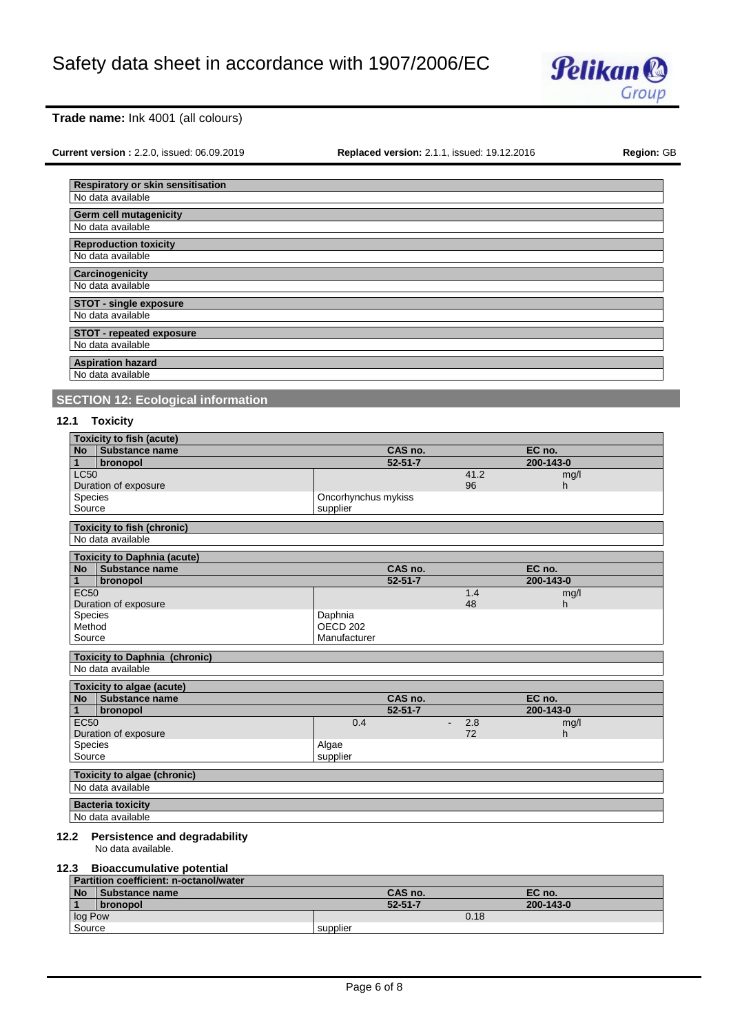

**Current version :** 2.2.0, issued: 06.09.2019 **Replaced version:** 2.1.1, issued: 19.12.2016 **Region:** GB

| Respiratory or skin sensitisation |
|-----------------------------------|
| No data available                 |
| <b>Germ cell mutagenicity</b>     |
| No data available                 |
| <b>Reproduction toxicity</b>      |
| No data available                 |
| Carcinogenicity                   |
| No data available                 |
| <b>STOT - single exposure</b>     |
| No data available                 |
| STOT - repeated exposure          |
| No data available                 |
|                                   |
| No data available                 |
| <b>Aspiration hazard</b>          |

# **SECTION 12: Ecological information**

# **12.1 Toxicity**

|                                    | <b>Toxicity to fish (acute)</b>      |                     |           |           |  |  |  |  |
|------------------------------------|--------------------------------------|---------------------|-----------|-----------|--|--|--|--|
| <b>No</b>                          | Substance name                       | CAS no.             |           | EC no.    |  |  |  |  |
| 1                                  | bronopol                             | $52 - 51 - 7$       |           | 200-143-0 |  |  |  |  |
| <b>LC50</b>                        |                                      |                     | 41.2      | mg/l      |  |  |  |  |
|                                    | Duration of exposure                 |                     | 96        | h         |  |  |  |  |
| Species                            |                                      | Oncorhynchus mykiss |           |           |  |  |  |  |
| Source                             |                                      | supplier            |           |           |  |  |  |  |
|                                    | <b>Toxicity to fish (chronic)</b>    |                     |           |           |  |  |  |  |
|                                    | No data available                    |                     |           |           |  |  |  |  |
|                                    | <b>Toxicity to Daphnia (acute)</b>   |                     |           |           |  |  |  |  |
| <b>No</b>                          | Substance name                       | CAS no.             |           | EC no.    |  |  |  |  |
| $\mathbf{1}$                       | bronopol                             | $52 - 51 - 7$       |           | 200-143-0 |  |  |  |  |
| <b>EC50</b>                        |                                      |                     | 1.4       | mg/l      |  |  |  |  |
|                                    | Duration of exposure                 |                     | 48        | h.        |  |  |  |  |
| Species                            |                                      | Daphnia             |           |           |  |  |  |  |
| Method                             |                                      | OECD <sub>202</sub> |           |           |  |  |  |  |
| Source                             |                                      | Manufacturer        |           |           |  |  |  |  |
|                                    | <b>Toxicity to Daphnia (chronic)</b> |                     |           |           |  |  |  |  |
|                                    | No data available                    |                     |           |           |  |  |  |  |
|                                    | <b>Toxicity to algae (acute)</b>     |                     |           |           |  |  |  |  |
| <b>No</b>                          | Substance name                       | CAS no.             |           | EC no.    |  |  |  |  |
| $\mathbf{1}$                       | bronopol                             | $52 - 51 - 7$       |           | 200-143-0 |  |  |  |  |
| EC50                               |                                      | 0.4                 | 2.8<br>÷. | mg/l      |  |  |  |  |
|                                    | Duration of exposure                 |                     | 72        | h         |  |  |  |  |
| Species                            |                                      | Algae               |           |           |  |  |  |  |
| Source                             |                                      | supplier            |           |           |  |  |  |  |
| <b>Toxicity to algae (chronic)</b> |                                      |                     |           |           |  |  |  |  |
|                                    | No data available                    |                     |           |           |  |  |  |  |
| <b>Bacteria toxicity</b>           |                                      |                     |           |           |  |  |  |  |
|                                    | No data available                    |                     |           |           |  |  |  |  |
|                                    |                                      |                     |           |           |  |  |  |  |
| 12.2                               | <b>Persistence and degradability</b> |                     |           |           |  |  |  |  |
|                                    | No data available.                   |                     |           |           |  |  |  |  |
|                                    | 12.3 Riosceumulative notential       |                     |           |           |  |  |  |  |

# **12.3 Bioaccumulative potential**

|           | Partition coefficient: n-octanol/water |               |           |  |  |  |  |  |
|-----------|----------------------------------------|---------------|-----------|--|--|--|--|--|
| <b>No</b> | Substance name                         | CAS no.       | EC no.    |  |  |  |  |  |
|           | <b>bronopol</b>                        | $52 - 51 - 7$ | 200-143-0 |  |  |  |  |  |
| log Pow   |                                        | 0.18          |           |  |  |  |  |  |
| Source    |                                        | supplier      |           |  |  |  |  |  |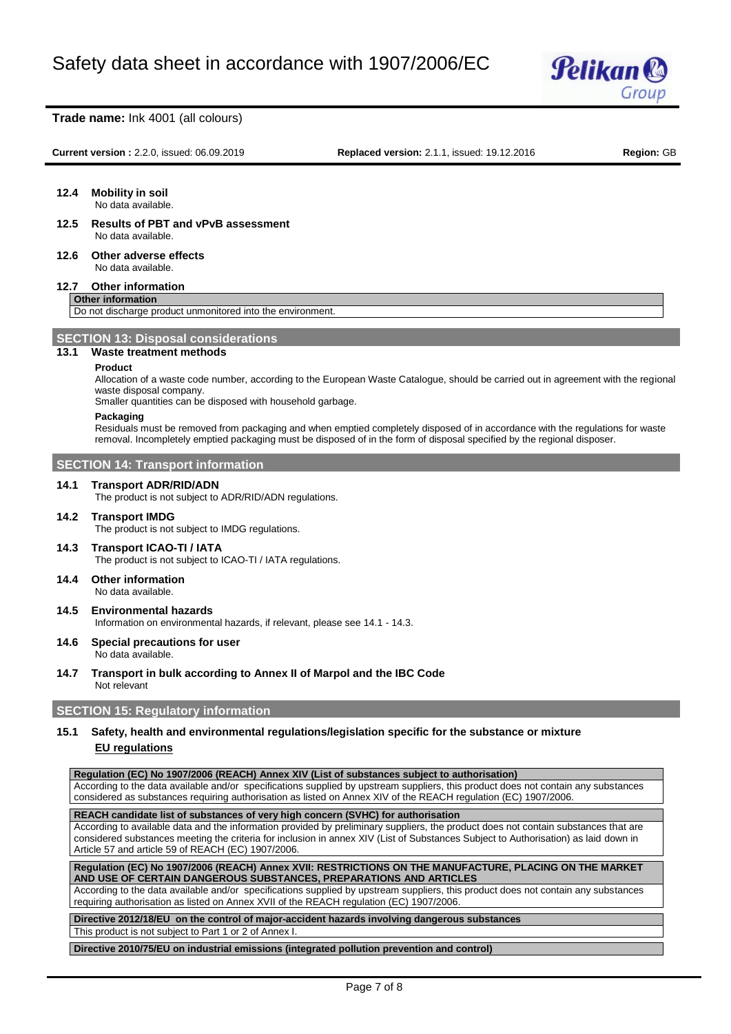

**Current version :** 2.2.0, issued: 06.09.2019 **Replaced version:** 2.1.1, issued: 19.12.2016 **Region:** GB

# **12.4 Mobility in soil**

No data available.

- **12.5 Results of PBT and vPvB assessment** No data available.
- **12.6 Other adverse effects** No data available.

### **12.7 Other information**

# **Other information**

Do not discharge product unmonitored into the environment.

# **SECTION 13: Disposal considerations**

# **13.1 Waste treatment methods**

### **Product**

Allocation of a waste code number, according to the European Waste Catalogue, should be carried out in agreement with the regional waste disposal company.

Smaller quantities can be disposed with household garbage.

### **Packaging**

Residuals must be removed from packaging and when emptied completely disposed of in accordance with the regulations for waste removal. Incompletely emptied packaging must be disposed of in the form of disposal specified by the regional disposer.

# **SECTION 14: Transport information**

### **14.1 Transport ADR/RID/ADN**

The product is not subject to ADR/RID/ADN regulations.

# **14.2 Transport IMDG**

The product is not subject to IMDG regulations.

- **14.3 Transport ICAO-TI / IATA** The product is not subject to ICAO-TI / IATA regulations.
- **14.4 Other information** No data available.
- **14.5 Environmental hazards** Information on environmental hazards, if relevant, please see 14.1 - 14.3.

### **14.6 Special precautions for user** No data available.

**14.7 Transport in bulk according to Annex II of Marpol and the IBC Code** Not relevant

# **SECTION 15: Regulatory information**

# **15.1 Safety, health and environmental regulations/legislation specific for the substance or mixture EU regulations**

### **Regulation (EC) No 1907/2006 (REACH) Annex XIV (List of substances subject to authorisation)**

According to the data available and/or specifications supplied by upstream suppliers, this product does not contain any substances considered as substances requiring authorisation as listed on Annex XIV of the REACH regulation (EC) 1907/2006.

# **REACH candidate list of substances of very high concern (SVHC) for authorisation**

According to available data and the information provided by preliminary suppliers, the product does not contain substances that are considered substances meeting the criteria for inclusion in annex XIV (List of Substances Subject to Authorisation) as laid down in Article 57 and article 59 of REACH (EC) 1907/2006.

### **Regulation (EC) No 1907/2006 (REACH) Annex XVII: RESTRICTIONS ON THE MANUFACTURE, PLACING ON THE MARKET AND USE OF CERTAIN DANGEROUS SUBSTANCES, PREPARATIONS AND ARTICLES**

According to the data available and/or specifications supplied by upstream suppliers, this product does not contain any substances requiring authorisation as listed on Annex XVII of the REACH regulation (EC) 1907/2006.

### **Directive 2012/18/EU on the control of major-accident hazards involving dangerous substances** This product is not subject to Part 1 or 2 of Annex I.

### **Directive 2010/75/EU on industrial emissions (integrated pollution prevention and control)**